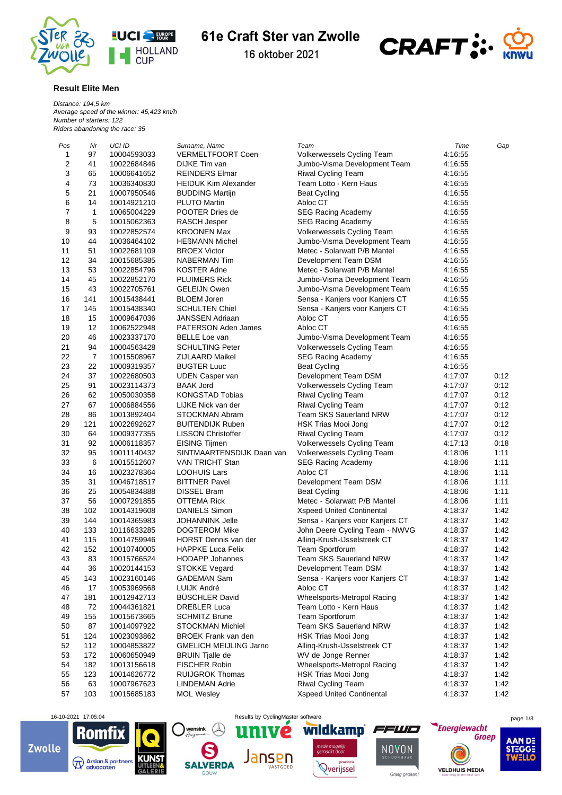

## 61e Craft Ster van Zwolle

16 oktober 2021



## **Result Elite Men**

*Distance: 194,5 km Average speed of the winner: 45,423 km/h Number of starters: 122 Riders abandoning the race: 35*

| Pos                     | Nr             | UCI ID      | Surname, Name                 | Team                             | Time    | Gap          |
|-------------------------|----------------|-------------|-------------------------------|----------------------------------|---------|--------------|
| 1                       | 97             | 10004593033 | <b>VERMELTFOORT Coen</b>      | Volkerwessels Cycling Team       | 4:16:55 |              |
| $\overline{\mathbf{c}}$ | 41             | 10022684846 | DIJKE Tim van                 | Jumbo-Visma Development Team     | 4:16:55 |              |
| 3                       | 65             | 10006641652 | <b>REINDERS Elmar</b>         | <b>Riwal Cycling Team</b>        | 4:16:55 |              |
| 4                       | 73             | 10036340830 | <b>HEIDUK Kim Alexander</b>   | Team Lotto - Kern Haus           | 4:16:55 |              |
| 5                       | 21             | 10007950546 | <b>BUDDING Martijn</b>        | <b>Beat Cycling</b>              | 4:16:55 |              |
| 6                       | 14             | 10014921210 | <b>PLUTO Martin</b>           | Abloc CT                         | 4:16:55 |              |
| 7                       | 1              | 10065004229 | POOTER Dries de               | <b>SEG Racing Academy</b>        | 4:16:55 |              |
| 8                       | 5              | 10015062363 | RASCH Jesper                  | <b>SEG Racing Academy</b>        | 4:16:55 |              |
| 9                       | 93             | 10022852574 | <b>KROONEN Max</b>            | Volkerwessels Cycling Team       | 4:16:55 |              |
| 10                      | 44             | 10036464102 | <b>HEßMANN Michel</b>         | Jumbo-Visma Development Team     | 4:16:55 |              |
| 11                      | 51             | 10022681109 | <b>BROEX Victor</b>           | Metec - Solarwatt P/B Mantel     | 4:16:55 |              |
| 12                      | 34             | 10015685385 | <b>NABERMAN Tim</b>           | Development Team DSM             | 4:16:55 |              |
| 13                      | 53             | 10022854796 | <b>KOSTER Adne</b>            | Metec - Solarwatt P/B Mantel     |         |              |
|                         |                |             |                               | Jumbo-Visma Development Team     | 4:16:55 |              |
| 14                      | 45             | 10022852170 | <b>PLUIMERS Rick</b>          |                                  | 4:16:55 |              |
| 15                      | 43             | 10022705761 | <b>GELEIJN Owen</b>           | Jumbo-Visma Development Team     | 4:16:55 |              |
| 16                      | 141            | 10015438441 | <b>BLOEM Joren</b>            | Sensa - Kanjers voor Kanjers CT  | 4:16:55 |              |
| 17                      | 145            | 10015438340 | <b>SCHULTEN Chiel</b>         | Sensa - Kanjers voor Kanjers CT  | 4:16:55 |              |
| 18                      | 15             | 10009647036 | <b>JANSSEN Adriaan</b>        | Abloc CT                         | 4:16:55 |              |
| 19                      | 12             | 10062522948 | <b>PATERSON Aden James</b>    | Abloc CT                         | 4:16:55 |              |
| 20                      | 46             | 10023337170 | <b>BELLE Loe van</b>          | Jumbo-Visma Development Team     | 4:16:55 |              |
| 21                      | 94             | 10004563428 | <b>SCHULTING Peter</b>        | Volkerwessels Cycling Team       | 4:16:55 |              |
| 22                      | $\overline{7}$ | 10015508967 | ZIJLAARD Maikel               | <b>SEG Racing Academy</b>        | 4:16:55 |              |
| 23                      | 22             | 10009319357 | <b>BUGTER Luuc</b>            | <b>Beat Cycling</b>              | 4:16:55 |              |
| 24                      | 37             | 10022680503 | <b>UDEN Casper van</b>        | Development Team DSM             | 4:17:07 | 0:12         |
| 25                      | 91             | 10023114373 | <b>BAAK Jord</b>              | Volkerwessels Cycling Team       | 4:17:07 | 0:12         |
| 26                      | 62             | 10050030358 | <b>KONGSTAD Tobias</b>        | Riwal Cycling Team               | 4:17:07 | 0:12         |
| 27                      | 67             | 10006884556 | LIJKE Nick van der            | Riwal Cycling Team               | 4:17:07 | 0:12         |
| 28                      | 86             | 10013892404 | <b>STOCKMAN Abram</b>         | <b>Team SKS Sauerland NRW</b>    | 4:17:07 | 0:12         |
| 29                      | 121            | 10022692627 | <b>BUITENDIJK Ruben</b>       | HSK Trias Mooi Jong              | 4:17:07 | 0:12         |
| 30                      | 64             | 10009377355 | <b>LISSON Christoffer</b>     | <b>Riwal Cycling Team</b>        | 4:17:07 | 0:12         |
| 31                      | 92             | 10006118357 | <b>EISING Tijmen</b>          | Volkerwessels Cycling Team       | 4:17:13 | 0:18         |
| 32                      | 95             | 10011140432 | SINTMAARTENSDIJK Daan van     | Volkerwessels Cycling Team       | 4:18:06 | 1:11         |
| 33                      | 6              | 10015512607 | VAN TRICHT Stan               | <b>SEG Racing Academy</b>        | 4:18:06 | 1:11         |
| 34                      | 16             | 10023278364 | <b>LOOHUIS Lars</b>           | Abloc CT                         | 4:18:06 | 1:11         |
| 35                      | 31             | 10046718517 | <b>BITTNER Pavel</b>          | Development Team DSM             | 4:18:06 | 1:11         |
| 36                      | 25             | 10054834888 | <b>DISSEL Bram</b>            | <b>Beat Cycling</b>              | 4:18:06 | 1:11         |
| 37                      | 56             | 10007291855 | OTTEMA Rick                   | Metec - Solarwatt P/B Mantel     | 4:18:06 | 1:11         |
|                         |                |             |                               | <b>Xspeed United Continental</b> |         |              |
| 38                      | 102            | 10014319608 | <b>DANIELS Simon</b>          |                                  | 4:18:37 | 1:42<br>1:42 |
| 39                      | 144            | 10014365983 | <b>JOHANNINK Jelle</b>        | Sensa - Kanjers voor Kanjers CT  | 4:18:37 |              |
| 40                      | 133            | 10116633285 | <b>DOGTEROM Mike</b>          | John Deere Cycling Team - NWVG   | 4:18:37 | 1:42         |
| 41                      | 115            | 10014759946 | HORST Dennis van der          | Alling-Krush-IJsselstreek CT     | 4:18:37 | 1:42         |
| 42                      | 152            | 10010740005 | <b>HAPPKE Luca Felix</b>      | Team Sportforum                  | 4:18:37 | 1:42         |
| 43                      | 83             | 10015766524 | <b>HODAPP Johannes</b>        | <b>Team SKS Sauerland NRW</b>    | 4:18:37 | 1:42         |
| 44                      | 36             | 10020144153 | <b>STOKKE Vegard</b>          | Development Team DSM             | 4:18:37 | 1:42         |
| 45                      | 143            | 10023160146 | <b>GADEMAN Sam</b>            | Sensa - Kanjers voor Kanjers CT  | 4:18:37 | 1:42         |
| 46                      | 17             | 10053969568 | LUIJK André                   | Abloc CT                         | 4:18:37 | 1:42         |
| 47                      | 181            | 10012942713 | <b>BUSCHLER David</b>         | Wheelsports-Metropol Racing      | 4:18:37 | 1:42         |
| 48                      | 72             | 10044361821 | <b>DREßLER Luca</b>           | Team Lotto - Kern Haus           | 4:18:37 | 1:42         |
| 49                      | 155            | 10015673665 | <b>SCHMITZ Brune</b>          | Team Sportforum                  | 4:18:37 | 1:42         |
| 50                      | 87             | 10014097922 | <b>STOCKMAN Michiel</b>       | Team SKS Sauerland NRW           | 4:18:37 | 1:42         |
| 51                      | 124            | 10023093862 | <b>BROEK Frank van den</b>    | HSK Trias Mooi Jong              | 4:18:37 | 1:42         |
| 52                      | 112            | 10004853822 | <b>GMELICH MEIJLING Jarno</b> | Alling-Krush-IJsselstreek CT     | 4:18:37 | 1:42         |
| 53                      | 172            | 10060650949 | <b>BRUIN Tjalle de</b>        | WV de Jonge Renner               | 4:18:37 | 1:42         |
| 54                      | 182            | 10013156618 | <b>FISCHER Robin</b>          | Wheelsports-Metropol Racing      | 4:18:37 | 1:42         |
| 55                      | 123            | 10014626772 | <b>RUIJGROK Thomas</b>        | HSK Trias Mooi Jong              | 4:18:37 | 1:42         |
| 56                      | 63             | 10007967623 | LINDEMAN Adrie                | Riwal Cycling Team               | 4:18:37 | 1:42         |
| 57                      | 103            | 10015685183 | <b>MOL Wesley</b>             | Xspeed United Continental        | 4:18:37 | 1:42         |
|                         |                |             |                               |                                  |         |              |















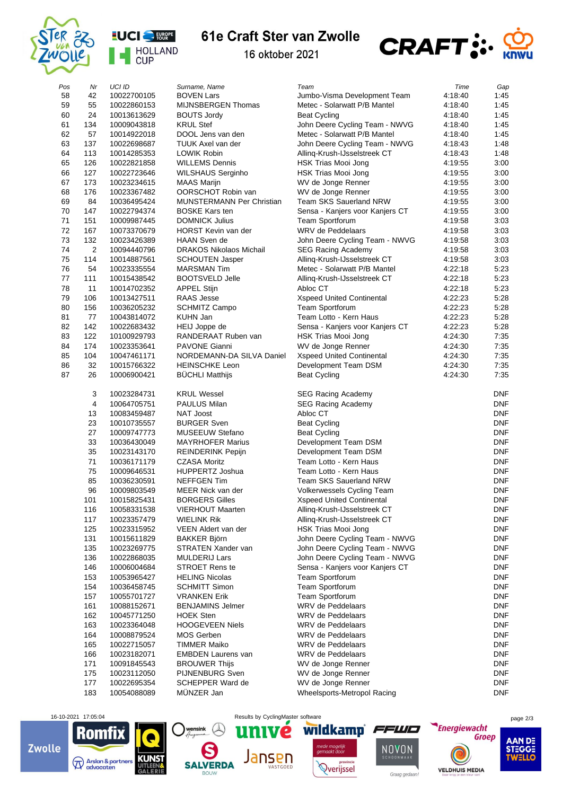



## 61e Craft Ster van Zwolle



16 oktober 2021

| Pos | Nr             | UCI ID                     | Surname, Name                    | Team                                       | Time    |                          |
|-----|----------------|----------------------------|----------------------------------|--------------------------------------------|---------|--------------------------|
| 58  | 42             | 10022700105                | <b>BOVEN Lars</b>                | Jumbo-Visma Development Team               | 4:18:40 | Gap<br>1:45              |
| 59  | 55             | 10022860153                | MIJNSBERGEN Thomas               | Metec - Solarwatt P/B Mantel               | 4:18:40 | 1:45                     |
| 60  | 24             | 10013613629                | <b>BOUTS Jordy</b>               | <b>Beat Cycling</b>                        | 4:18:40 | 1:45                     |
| 61  | 134            | 10009043818                | <b>KRUL Stef</b>                 | John Deere Cycling Team - NWVG             | 4:18:40 | 1:45                     |
| 62  | 57             | 10014922018                | DOOL Jens van den                | Metec - Solarwatt P/B Mantel               | 4:18:40 | 1:45                     |
| 63  | 137            | 10022698687                | TUUK Axel van der                | John Deere Cycling Team - NWVG             | 4:18:43 | 1:48                     |
| 64  | 113            | 10014285353                | <b>LOWIK Robin</b>               | Alling-Krush-IJsselstreek CT               | 4:18:43 | 1:48                     |
| 65  | 126            | 10022821858                | <b>WILLEMS Dennis</b>            | HSK Trias Mooi Jong                        | 4:19:55 | 3:00                     |
| 66  | 127            | 10022723646                | <b>WILSHAUS Serginho</b>         | HSK Trias Mooi Jong                        | 4:19:55 | 3:00                     |
| 67  | 173            | 10023234615                | <b>MAAS Marijn</b>               | WV de Jonge Renner                         | 4:19:55 | 3:00                     |
| 68  | 176            | 10023367482                | OORSCHOT Robin van               | WV de Jonge Renner                         | 4:19:55 | 3:00                     |
| 69  | 84             | 10036495424                | <b>MUNSTERMANN Per Christian</b> | <b>Team SKS Sauerland NRW</b>              | 4:19:55 | 3:00                     |
| 70  | 147            | 10022794374                | <b>BOSKE Kars ten</b>            | Sensa - Kanjers voor Kanjers CT            | 4:19:55 | 3:00                     |
| 71  | 151            | 10009987445                | <b>DOMNICK Julius</b>            | <b>Team Sportforum</b>                     | 4:19:58 | 3:03                     |
| 72  | 167            | 10073370679                | HORST Kevin van der              | WRV de Peddelaars                          | 4:19:58 | 3:03                     |
| 73  | 132            | 10023426389                | <b>HAAN Sven de</b>              | John Deere Cycling Team - NWVG             | 4:19:58 | 3:03                     |
| 74  | $\overline{2}$ | 10094440796                | <b>DRAKOS Nikolaos Michail</b>   | <b>SEG Racing Academy</b>                  | 4:19:58 | 3:03                     |
| 75  | 114            | 10014887561                | <b>SCHOUTEN Jasper</b>           | Alling-Krush-IJsselstreek CT               | 4:19:58 | 3:03                     |
| 76  | 54             | 10023335554                | <b>MARSMAN Tim</b>               | Metec - Solarwatt P/B Mantel               | 4:22:18 | 5:23                     |
| 77  | 111            | 10015438542                | <b>BOOTSVELD Jelle</b>           | Alling-Krush-IJsselstreek CT               | 4:22:18 | 5:23                     |
| 78  | 11             | 10014702352                | <b>APPEL Stijn</b>               | Abloc CT                                   | 4:22:18 | 5:23                     |
| 79  | 106            | 10013427511                | <b>RAAS Jesse</b>                | <b>Xspeed United Continental</b>           | 4:22:23 | 5:28                     |
| 80  | 156            | 10036205232                | <b>SCHMITZ Campo</b>             | <b>Team Sportforum</b>                     | 4:22:23 | 5:28                     |
| 81  | 77             | 10043814072                | <b>KUHN Jan</b>                  | Team Lotto - Kern Haus                     | 4:22:23 | 5:28                     |
| 82  | 142            | 10022683432                | HEIJ Joppe de                    | Sensa - Kanjers voor Kanjers CT            | 4:22:23 | 5:28                     |
| 83  | 122            | 10100929793                | RANDERAAT Ruben van              | HSK Trias Mooi Jong                        | 4:24:30 | 7:35                     |
| 84  | 174            | 10023353641                | <b>PAVONE Gianni</b>             | WV de Jonge Renner                         | 4:24:30 | 7:35                     |
| 85  | 104            | 10047461171                | NORDEMANN-DA SILVA Daniel        | <b>Xspeed United Continental</b>           | 4:24:30 | 7:35                     |
| 86  | 32             | 10015766322                | <b>HEINSCHKE Leon</b>            | Development Team DSM                       | 4:24:30 | 7:35                     |
| 87  | 26             | 10006900421                | <b>BUCHLI Matthijs</b>           | <b>Beat Cycling</b>                        | 4:24:30 | 7:35                     |
|     | 3              |                            | <b>KRUL Wessel</b>               |                                            |         | <b>DNF</b>               |
|     | 4              | 10023284731                |                                  | <b>SEG Racing Academy</b>                  |         |                          |
|     | 13             | 10064705751                | <b>PAULUS Milan</b><br>NAT Joost | <b>SEG Racing Academy</b><br>Abloc CT      |         | <b>DNF</b><br><b>DNF</b> |
|     | 23             | 10083459487                | <b>BURGER Sven</b>               |                                            |         | <b>DNF</b>               |
|     | 27             | 10010735557<br>10009747773 | <b>MUSEEUW Stefano</b>           | <b>Beat Cycling</b><br><b>Beat Cycling</b> |         | <b>DNF</b>               |
|     | 33             | 10036430049                | <b>MAYRHOFER Marius</b>          | Development Team DSM                       |         | <b>DNF</b>               |
|     | 35             | 10023143170                | <b>REINDERINK Pepijn</b>         | Development Team DSM                       |         | <b>DNF</b>               |
|     | 71             | 10036171179                | <b>CZASA Moritz</b>              | Team Lotto - Kern Haus                     |         | <b>DNF</b>               |
|     | 75             | 10009646531                | HUPPERTZ Joshua                  | Team Lotto - Kern Haus                     |         | <b>DNF</b>               |
|     | 85             | 10036230591                | <b>NEFFGEN Tim</b>               | <b>Team SKS Sauerland NRW</b>              |         | <b>DNF</b>               |
|     | 96             | 10009803549                | MEER Nick van der                | Volkerwessels Cycling Team                 |         | <b>DNF</b>               |
|     | 101            | 10015825431                | <b>BORGERS Gilles</b>            | <b>Xspeed United Continental</b>           |         | <b>DNF</b>               |
|     | 116            | 10058331538                | <b>VIERHOUT Maarten</b>          | Alling-Krush-IJsselstreek CT               |         | <b>DNF</b>               |
|     | 117            | 10023357479                | WIELINK Rik                      | Alling-Krush-IJsselstreek CT               |         | <b>DNF</b>               |
|     | 125            | 10023315952                | VEEN Aldert van der              | HSK Trias Mooi Jong                        |         | <b>DNF</b>               |
|     | 131            | 10015611829                | <b>BAKKER Björn</b>              | John Deere Cycling Team - NWVG             |         | <b>DNF</b>               |
|     | 135            | 10023269775                | STRATEN Xander van               | John Deere Cycling Team - NWVG             |         | <b>DNF</b>               |
|     | 136            | 10022868035                | <b>MULDERIJ Lars</b>             | John Deere Cycling Team - NWVG             |         | <b>DNF</b>               |
|     | 146            | 10006004684                | STROET Rens te                   | Sensa - Kanjers voor Kanjers CT            |         | <b>DNF</b>               |
|     | 153            | 10053965427                | <b>HELING Nicolas</b>            | <b>Team Sportforum</b>                     |         | <b>DNF</b>               |
|     | 154            | 10036458745                | <b>SCHMITT Simon</b>             | Team Sportforum                            |         | <b>DNF</b>               |
|     | 157            | 10055701727                | <b>VRANKEN Erik</b>              | <b>Team Sportforum</b>                     |         | <b>DNF</b>               |
|     | 161            | 10088152671                | <b>BENJAMINS Jelmer</b>          | WRV de Peddelaars                          |         | <b>DNF</b>               |
|     | 162            | 10045771250                | <b>HOEK Sten</b>                 | WRV de Peddelaars                          |         | <b>DNF</b>               |
|     | 163            | 10023364048                | <b>HOOGEVEEN Niels</b>           | WRV de Peddelaars                          |         | <b>DNF</b>               |
|     | 164            | 10008879524                | MOS Gerben                       | WRV de Peddelaars                          |         | <b>DNF</b>               |
|     | 165            | 10022715057                | <b>TIMMER Maiko</b>              | WRV de Peddelaars                          |         | <b>DNF</b>               |
|     | 166            | 10023182071                | <b>EMBDEN Laurens van</b>        | WRV de Peddelaars                          |         | <b>DNF</b>               |
|     | 171            | 10091845543                | <b>BROUWER Thijs</b>             | WV de Jonge Renner                         |         | <b>DNF</b>               |
|     | 175            | 10023112050                | PIJNENBURG Sven                  | WV de Jonge Renner                         |         | <b>DNF</b>               |
|     | 177            | 10022695354                | SCHEPPER Ward de                 | WV de Jonge Renner                         |         | <b>DNF</b>               |
|     | 183            | 10054088089                | MÜNZER Jan                       | Wheelsports-Metropol Racing                |         | <b>DNF</b>               |





univé